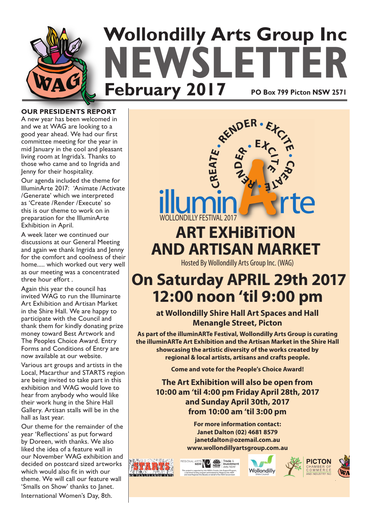

**OUR PRESIDENTS REPORT**

A new year has been welcomed in and we at WAG are looking to a good year ahead. We had our first committee meeting for the year in mid January in the cool and pleasant living room at Ingrida's. Thanks to those who came and to Ingrida and Jenny for their hospitality.

Our agenda included the theme for IlluminArte 2017: 'Animate /Activate /Generate' which we interpreted as 'Create /Render /Execute' so this is our theme to work on in preparation for the IlluminArte Exhibition in April.

A week later we continued our discussions at our General Meeting and again we thank Ingrida and Jenny for the comfort and coolness of their home..... which worked out very well as our meeting was a concentrated three hour effort .

Again this year the council has invited WAG to run the Illuminarte Art Exhibition and Artisan Market in the Shire Hall. We are happy to participate with the Council and thank them for kindly donating prize money toward Best Artwork and The Peoples Choice Award. Entry Forms and Conditions of Entry are now available at our website.

Various art groups and artists in the Local, Macarthur and STARTS region are being invited to take part in this exhibition and WAG would love to hear from anybody who would like their work hung in the Shire Hall Gallery. Artisan stalls will be in the hall as last year.

Our theme for the remainder of the year 'Reflections' as put forward by Doreen, with thanks. We also liked the idea of a feature wall in our November WAG exhibition and decided on postcard sized artworks which would also fit in with our theme. We will call our feature wall 'Smalls on Show' thanks to Janet.

International Women's Day, 8th.



# Hosted By Wollondilly Arts Group Inc. (WAG) **AND ARTISAN MARKET**

# **On Saturday APRIL 29th 2017 12:00 noon 'til 9:00 pm**

**at Wollondilly Shire Hall Art Spaces and Hall Menangle Street, Picton**

**As part of the illuminARTe Festival, Wollondilly Arts Group is curating the illuminARTe Art Exhibition and the Artisan Market in the Shire Hall showcasing the artistic diversity of the works created by regional & local artists, artisans and crafts people.**

**Come and vote for the People's Choice Award!**

**The Art Exhibition will also be open from 10:00 am 'til 4:00 pm Friday April 28th, 2017 and Sunday April 30th, 2017 from 10:00 am 'til 3:00 pm**

> **For more information contact: Janet Dalton (02) 4681 8579 janetdalton@ozemail.com.au www.wollondillyartsgroup.com.au**